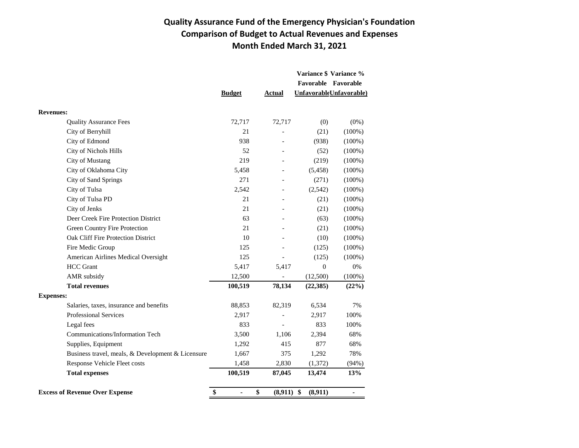## **Quality Assurance Fund of the Emergency Physician's Foundation Comparison of Budget to Actual Revenues and Expenses Month Ended March 31, 2021**

|                                                   |               |               |               | Variance \$ Variance %  |
|---------------------------------------------------|---------------|---------------|---------------|-------------------------|
|                                                   |               |               |               | Favorable Favorable     |
|                                                   | <b>Budget</b> | <b>Actual</b> |               | UnfavorableUnfavorable) |
| <b>Revenues:</b>                                  |               |               |               |                         |
| <b>Quality Assurance Fees</b>                     | 72,717        | 72,717        | (0)           | $(0\%)$                 |
| City of Berryhill                                 | 21            |               | (21)          | $(100\%)$               |
| City of Edmond                                    | 938           |               | (938)         | $(100\%)$               |
| City of Nichols Hills                             | 52            |               | (52)          | $(100\%)$               |
| City of Mustang                                   | 219           |               | (219)         | $(100\%)$               |
| City of Oklahoma City                             | 5,458         |               | (5, 458)      | $(100\%)$               |
| <b>City of Sand Springs</b>                       | 271           |               | (271)         | $(100\%)$               |
| City of Tulsa                                     | 2,542         |               | (2,542)       | $(100\%)$               |
| City of Tulsa PD                                  | 21            |               | (21)          | $(100\%)$               |
| City of Jenks                                     | 21            |               | (21)          | $(100\%)$               |
| Deer Creek Fire Protection District               | 63            |               | (63)          | $(100\%)$               |
| Green Country Fire Protection                     | 21            |               | (21)          | $(100\%)$               |
| Oak Cliff Fire Protection District                | 10            |               | (10)          | $(100\%)$               |
| Fire Medic Group                                  | 125           |               | (125)         | $(100\%)$               |
| American Airlines Medical Oversight               | 125           |               | (125)         | $(100\%)$               |
| <b>HCC</b> Grant                                  | 5,417         | 5,417         | $\Omega$      | 0%                      |
| AMR subsidy                                       | 12,500        |               | (12,500)      | $(100\%)$               |
| <b>Total revenues</b>                             | 100,519       | 78,134        | (22, 385)     | (22%)                   |
| <b>Expenses:</b>                                  |               |               |               |                         |
| Salaries, taxes, insurance and benefits           | 88,853        | 82,319        | 6,534         | 7%                      |
| <b>Professional Services</b>                      | 2,917         |               | 2,917         | 100%                    |
| Legal fees                                        | 833           |               | 833           | 100%                    |
| Communications/Information Tech                   | 3,500         | 1,106         | 2,394         | 68%                     |
| Supplies, Equipment                               | 1,292         | 415           | 877           | 68%                     |
| Business travel, meals, & Development & Licensure | 1,667         | 375           | 1,292         | 78%                     |
| Response Vehicle Fleet costs                      | 1,458         | 2,830         | (1,372)       | (94%)                   |
| <b>Total expenses</b>                             | 100,519       | 87,045        | 13,474        | 13%                     |
| <b>Excess of Revenue Over Expense</b>             | \$            | \$<br>(8,911) | \$<br>(8,911) | $\blacksquare$          |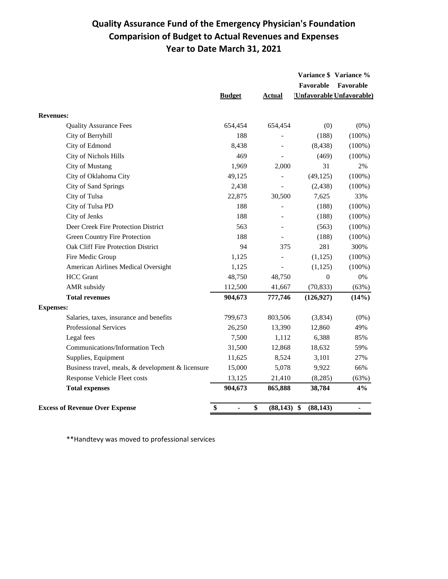## **Quality Assurance Fund of the Emergency Physician's Foundation Comparision of Budget to Actual Revenues and Expenses Year to Date March 31, 2021**

|                                                   |                                    |                          |                | Variance \$ Variance %          |
|---------------------------------------------------|------------------------------------|--------------------------|----------------|---------------------------------|
|                                                   |                                    |                          | Favorable      | Favorable                       |
|                                                   | <b>Budget</b>                      | <b>Actual</b>            |                | <b>Unfavorable Unfavorable)</b> |
| <b>Revenues:</b>                                  |                                    |                          |                |                                 |
| <b>Quality Assurance Fees</b>                     | 654,454                            | 654,454                  | (0)            | $(0\%)$                         |
| City of Berryhill                                 | 188                                | $\overline{a}$           | (188)          | (100%)                          |
| City of Edmond                                    | 8,438                              |                          | (8, 438)       | $(100\%)$                       |
| <b>City of Nichols Hills</b>                      | 469                                | $\overline{a}$           | (469)          | $(100\%)$                       |
| <b>City of Mustang</b>                            | 1,969                              | 2,000                    | 31             | 2%                              |
| City of Oklahoma City                             | 49,125                             | $\overline{\phantom{0}}$ | (49, 125)      | $(100\%)$                       |
| City of Sand Springs                              | 2,438                              |                          | (2, 438)       | $(100\%)$                       |
| City of Tulsa                                     | 22,875                             | 30,500                   | 7,625          | 33%                             |
| City of Tulsa PD                                  | 188                                |                          | (188)          | $(100\%)$                       |
| City of Jenks                                     | 188                                |                          | (188)          | $(100\%)$                       |
| Deer Creek Fire Protection District               | 563                                |                          | (563)          | $(100\%)$                       |
| <b>Green Country Fire Protection</b>              | 188                                | $\overline{a}$           | (188)          | $(100\%)$                       |
| <b>Oak Cliff Fire Protection District</b>         | 94                                 | 375                      | 281            | 300%                            |
| Fire Medic Group                                  | 1,125                              |                          | (1, 125)       | $(100\%)$                       |
| American Airlines Medical Oversight               | 1,125                              | $\overline{a}$           | (1,125)        | $(100\%)$                       |
| <b>HCC</b> Grant                                  | 48,750                             | 48,750                   | $\overline{0}$ | $0\%$                           |
| AMR subsidy                                       | 112,500                            | 41,667                   | (70, 833)      | (63%)                           |
| <b>Total revenues</b>                             | 904,673                            | 777,746                  | (126, 927)     | (14%)                           |
| <b>Expenses:</b>                                  |                                    |                          |                |                                 |
| Salaries, taxes, insurance and benefits           | 799,673                            | 803,506                  | (3,834)        | $(0\%)$                         |
| <b>Professional Services</b>                      | 26,250                             | 13,390                   | 12,860         | 49%                             |
| Legal fees                                        | 7,500                              | 1,112                    | 6,388          | 85%                             |
| Communications/Information Tech                   | 31,500                             | 12,868                   | 18,632         | 59%                             |
| Supplies, Equipment                               | 11,625                             | 8,524                    | 3,101          | 27%                             |
| Business travel, meals, & development & licensure | 15,000                             | 5,078                    | 9,922          | 66%                             |
| Response Vehicle Fleet costs                      | 13,125                             | 21,410                   | (8,285)        | (63%)                           |
| <b>Total expenses</b>                             | 904,673                            | 865,888                  | 38,784         | 4%                              |
| <b>Excess of Revenue Over Expense</b>             | \$<br>$\qquad \qquad \blacksquare$ | \$<br>$(88, 143)$ \$     | (88, 143)      |                                 |

\*\*Handtevy was moved to professional services